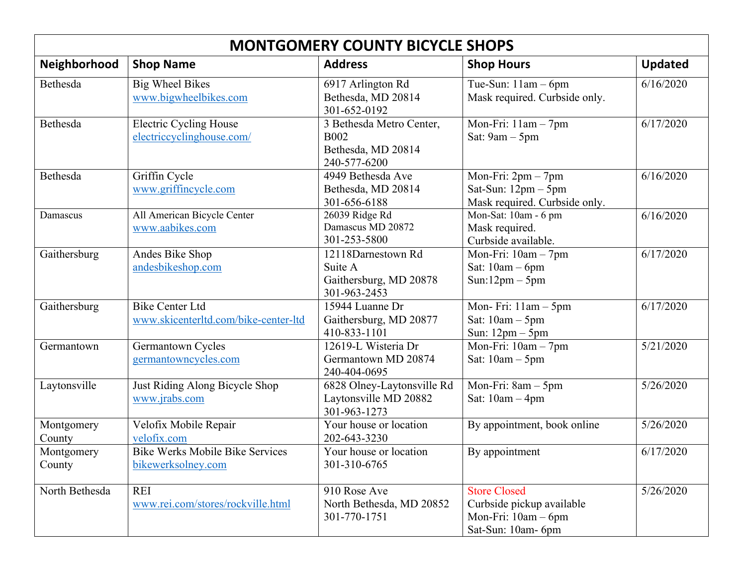| <b>MONTGOMERY COUNTY BICYCLE SHOPS</b> |                                                                |                                                                               |                                                                                                 |                |  |  |  |
|----------------------------------------|----------------------------------------------------------------|-------------------------------------------------------------------------------|-------------------------------------------------------------------------------------------------|----------------|--|--|--|
| Neighborhood                           | <b>Shop Name</b>                                               | <b>Address</b>                                                                | <b>Shop Hours</b>                                                                               | <b>Updated</b> |  |  |  |
| Bethesda                               | <b>Big Wheel Bikes</b><br>www.bigwheelbikes.com                | 6917 Arlington Rd<br>Bethesda, MD 20814<br>301-652-0192                       | Tue-Sun: $11am - 6pm$<br>Mask required. Curbside only.                                          | 6/16/2020      |  |  |  |
| Bethesda                               | <b>Electric Cycling House</b><br>electriccyclinghouse.com/     | 3 Bethesda Metro Center,<br><b>B002</b><br>Bethesda, MD 20814<br>240-577-6200 | Mon-Fri: 11am - 7pm<br>Sat: 9am - 5pm                                                           | 6/17/2020      |  |  |  |
| Bethesda                               | Griffin Cycle<br>www.griffincycle.com                          | 4949 Bethesda Ave<br>Bethesda, MD 20814<br>301-656-6188                       | Mon-Fri: $2pm - 7pm$<br>Sat-Sun: $12pm - 5pm$<br>Mask required. Curbside only.                  | 6/16/2020      |  |  |  |
| Damascus                               | All American Bicycle Center<br>www.aabikes.com                 | 26039 Ridge Rd<br>Damascus MD 20872<br>301-253-5800                           | Mon-Sat: 10am - 6 pm<br>Mask required.<br>Curbside available.                                   | 6/16/2020      |  |  |  |
| Gaithersburg                           | Andes Bike Shop<br>andesbikeshop.com                           | 12118Darnestown Rd<br>Suite A<br>Gaithersburg, MD 20878<br>301-963-2453       | Mon-Fri: $10am - 7pm$<br>Sat: $10am - 6pm$<br>$Sun:12pm-5pm$                                    | 6/17/2020      |  |  |  |
| Gaithersburg                           | <b>Bike Center Ltd</b><br>www.skicenterltd.com/bike-center-ltd | 15944 Luanne Dr<br>Gaithersburg, MD 20877<br>410-833-1101                     | Mon-Fri: $11am - 5pm$<br>Sat: $10am - 5pm$<br>Sun: $12pm - 5pm$                                 | 6/17/2020      |  |  |  |
| Germantown                             | Germantown Cycles<br>germantowncycles.com                      | 12619-L Wisteria Dr<br>Germantown MD 20874<br>240-404-0695                    | $\overline{\text{Mon-Fri}}$ : 10am - 7pm<br>Sat: $10am - 5pm$                                   | 5/21/2020      |  |  |  |
| Laytonsville                           | Just Riding Along Bicycle Shop<br>www.jrabs.com                | 6828 Olney-Laytonsville Rd<br>Laytonsville MD 20882<br>301-963-1273           | Mon-Fri: 8am - 5pm<br>Sat: $10am - 4pm$                                                         | 5/26/2020      |  |  |  |
| Montgomery<br>County                   | Velofix Mobile Repair<br>velofix.com                           | Your house or location<br>202-643-3230                                        | By appointment, book online                                                                     | 5/26/2020      |  |  |  |
| Montgomery<br>County                   | <b>Bike Werks Mobile Bike Services</b><br>bikewerksolney.com   | Your house or location<br>301-310-6765                                        | By appointment                                                                                  | 6/17/2020      |  |  |  |
| North Bethesda                         | <b>REI</b><br>www.rei.com/stores/rockville.html                | 910 Rose Ave<br>North Bethesda, MD 20852<br>301-770-1751                      | <b>Store Closed</b><br>Curbside pickup available<br>Mon-Fri: $10am - 6pm$<br>Sat-Sun: 10am- 6pm | 5/26/2020      |  |  |  |